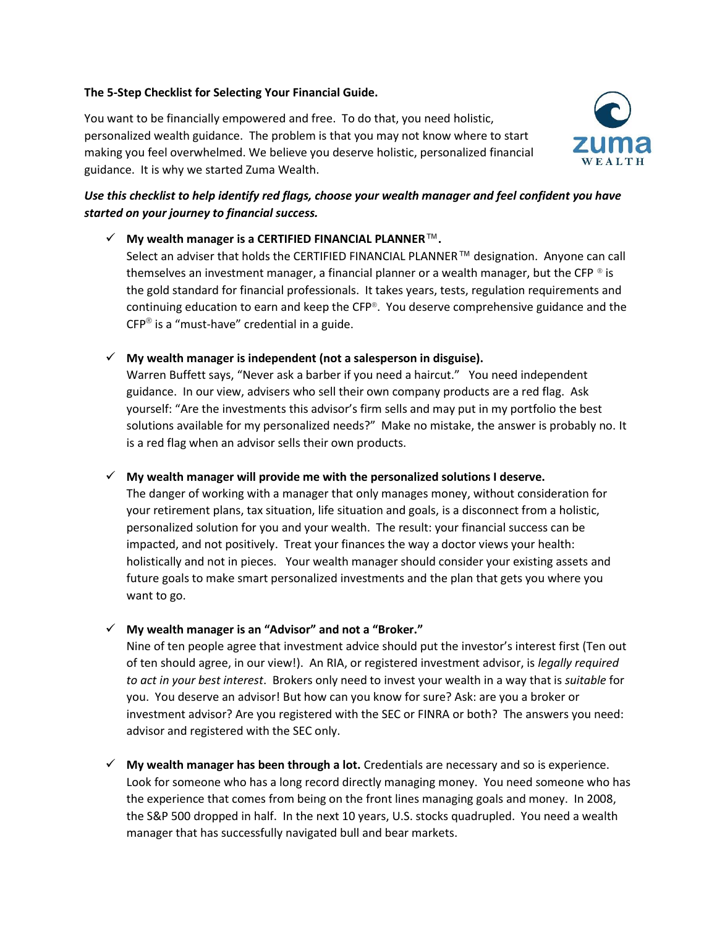## **The 5-Step Checklist for Selecting Your Financial Guide.**

You want to be financially empowered and free. To do that, you need holistic, personalized wealth guidance. The problem is that you may not know where to start making you feel overwhelmed. We believe you deserve holistic, personalized financial guidance. It is why we started Zuma Wealth.



## *Use this checklist to help identify red flags, choose your wealth manager and feel confident you have started on your journey to financial success.*

✓ **My wealth manager is a CERTIFIED FINANCIAL PLANNER**™**.** Select an adviser that holds the CERTIFIED FINANCIAL PLANNER™ designation. Anyone can call themselves an investment manager, a financial planner or a wealth manager, but the CFP  $\circ$  is the gold standard for financial professionals. It takes years, tests, regulation requirements and continuing education to earn and keep the CFP®. You deserve comprehensive guidance and the  $\mathsf{CFP}^{\circledast}$  is a "must-have" credential in a guide.

✓ **My wealth manager is independent (not a salesperson in disguise).**

Warren Buffett says, "Never ask a barber if you need a haircut." You need independent guidance. In our view, advisers who sell their own company products are a red flag. Ask yourself: "Are the investments this advisor's firm sells and may put in my portfolio the best solutions available for my personalized needs?" Make no mistake, the answer is probably no. It is a red flag when an advisor sells their own products.

✓ **My wealth manager will provide me with the personalized solutions I deserve.**

The danger of working with a manager that only manages money, without consideration for your retirement plans, tax situation, life situation and goals, is a disconnect from a holistic, personalized solution for you and your wealth. The result: your financial success can be impacted, and not positively. Treat your finances the way a doctor views your health: holistically and not in pieces. Your wealth manager should consider your existing assets and future goals to make smart personalized investments and the plan that gets you where you want to go.

✓ **My wealth manager is an "Advisor" and not a "Broker."**

Nine of ten people agree that investment advice should put the investor's interest first (Ten out of ten should agree, in our view!). An RIA, or registered investment advisor, is *legally required to act in your best interest*. Brokers only need to invest your wealth in a way that is *suitable* for you. You deserve an advisor! But how can you know for sure? Ask: are you a broker or investment advisor? Are you registered with the SEC or FINRA or both? The answers you need: advisor and registered with the SEC only.

✓ **My wealth manager has been through a lot.** Credentials are necessary and so is experience. Look for someone who has a long record directly managing money. You need someone who has the experience that comes from being on the front lines managing goals and money. In 2008, the S&P 500 dropped in half. In the next 10 years, U.S. stocks quadrupled. You need a wealth manager that has successfully navigated bull and bear markets.